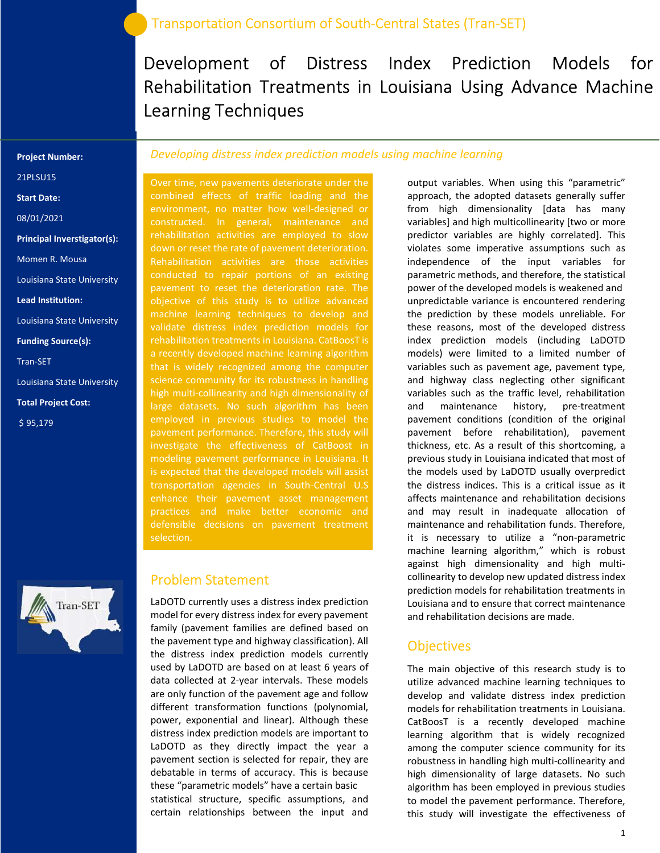# Development of Distress Index Prediction Models for Rehabilitation Treatments in Louisiana Using Advance Machine Learning Techniques

#### Project Number:

21PLSU15

Start Date:

08/01/2021

Principal Inverstigator(s):

Momen R. Mousa

Louisiana State University

Lead Institution:

Louisiana State University

Funding Source(s):

Tran-SET

Louisiana State University

Total Project Cost:

\$ 95,179



### Developing distress index prediction models using machine learning

Over time, new pavements deteriorate under the combined effects of traffic loading and the environment, no matter how well-designed or constructed. In general, maintenance and rehabilitation activities are employed to slow Rehabilitation activities are those activities pavement to reset the deterioration rate. The objective of this study is to utilize advanced machine learning techniques to develop and validate distress index prediction models for rehabilitation treatments in Louisiana. CatBoosT is a recently developed machine learning algorithm that is widely recognized among the computer science community for its robustness in handling high multi-collinearity and high dimensionality of large datasets. No such algorithm has been pavement performance. Therefore, this study will investigate the effectiveness of CatBoost in modeling pavement performance in Louisiana. It is expected that the developed models will assist transportation agencies in South-Central U.S enhance their pavement asset management practices and make better economic and defensible decisions on pavement treatment selection.

#### Problem Statement

LaDOTD currently uses a distress index prediction model for every distress index for every pavement family (pavement families are defined based on the pavement type and highway classification). All the distress index prediction models currently used by LaDOTD are based on at least 6 years of data collected at 2-year intervals. These models are only function of the pavement age and follow different transformation functions (polynomial, power, exponential and linear). Although these distress index prediction models are important to LaDOTD as they directly impact the year a pavement section is selected for repair, they are debatable in terms of accuracy. This is because these "parametric models" have a certain basic statistical structure, specific assumptions, and certain relationships between the input and

output variables. When using this "parametric" approach, the adopted datasets generally suffer from high dimensionality [data has many variables] and high multicollinearity [two or more predictor variables are highly correlated]. This violates some imperative assumptions such as independence of the input variables for parametric methods, and therefore, the statistical power of the developed models is weakened and unpredictable variance is encountered rendering the prediction by these models unreliable. For these reasons, most of the developed distress index prediction models (including LaDOTD models) were limited to a limited number of variables such as pavement age, pavement type, and highway class neglecting other significant variables such as the traffic level, rehabilitation and maintenance history, pre-treatment pavement conditions (condition of the original pavement before rehabilitation), pavement thickness, etc. As a result of this shortcoming, a previous study in Louisiana indicated that most of the models used by LaDOTD usually overpredict the distress indices. This is a critical issue as it affects maintenance and rehabilitation decisions and may result in inadequate allocation of maintenance and rehabilitation funds. Therefore, it is necessary to utilize a "non-parametric machine learning algorithm," which is robust against high dimensionality and high multicollinearity to develop new updated distress index prediction models for rehabilitation treatments in Louisiana and to ensure that correct maintenance and rehabilitation decisions are made.

### **Objectives**

The main objective of this research study is to utilize advanced machine learning techniques to develop and validate distress index prediction models for rehabilitation treatments in Louisiana. CatBoosT is a recently developed machine learning algorithm that is widely recognized among the computer science community for its robustness in handling high multi-collinearity and high dimensionality of large datasets. No such algorithm has been employed in previous studies to model the pavement performance. Therefore, this study will investigate the effectiveness of